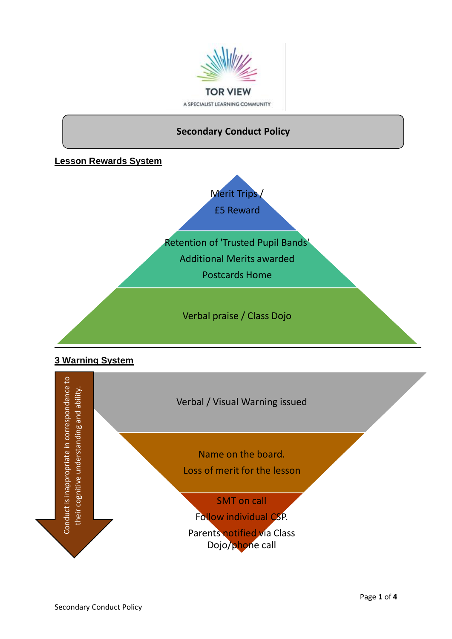



# **3 Warning System**

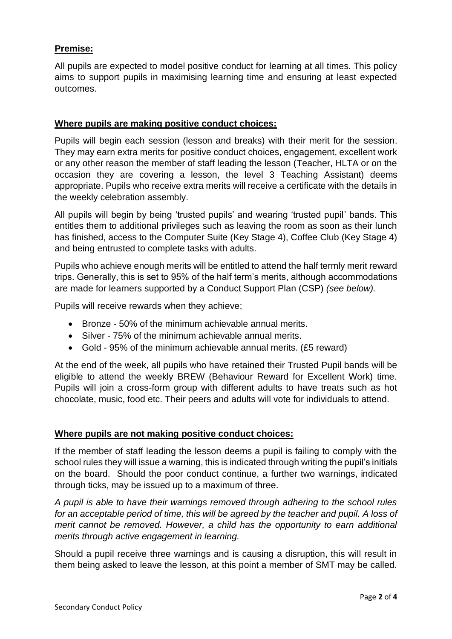# **Premise:**

All pupils are expected to model positive conduct for learning at all times. This policy aims to support pupils in maximising learning time and ensuring at least expected outcomes.

### **Where pupils are making positive conduct choices:**

Pupils will begin each session (lesson and breaks) with their merit for the session. They may earn extra merits for positive conduct choices, engagement, excellent work or any other reason the member of staff leading the lesson (Teacher, HLTA or on the occasion they are covering a lesson, the level 3 Teaching Assistant) deems appropriate. Pupils who receive extra merits will receive a certificate with the details in the weekly celebration assembly.

All pupils will begin by being 'trusted pupils' and wearing 'trusted pupil' bands. This entitles them to additional privileges such as leaving the room as soon as their lunch has finished, access to the Computer Suite (Key Stage 4), Coffee Club (Key Stage 4) and being entrusted to complete tasks with adults.

Pupils who achieve enough merits will be entitled to attend the half termly merit reward trips. Generally, this is set to 95% of the half term's merits, although accommodations are made for learners supported by a Conduct Support Plan (CSP) *(see below).*

Pupils will receive rewards when they achieve;

- Bronze 50% of the minimum achievable annual merits.
- Silver 75% of the minimum achievable annual merits.
- Gold 95% of the minimum achievable annual merits. (£5 reward)

At the end of the week, all pupils who have retained their Trusted Pupil bands will be eligible to attend the weekly BREW (Behaviour Reward for Excellent Work) time. Pupils will join a cross-form group with different adults to have treats such as hot chocolate, music, food etc. Their peers and adults will vote for individuals to attend.

### **Where pupils are not making positive conduct choices:**

If the member of staff leading the lesson deems a pupil is failing to comply with the school rules they will issue a warning, this is indicated through writing the pupil's initials on the board. Should the poor conduct continue, a further two warnings, indicated through ticks, may be issued up to a maximum of three.

*A pupil is able to have their warnings removed through adhering to the school rules for an acceptable period of time, this will be agreed by the teacher and pupil. A loss of merit cannot be removed. However, a child has the opportunity to earn additional merits through active engagement in learning.* 

Should a pupil receive three warnings and is causing a disruption, this will result in them being asked to leave the lesson, at this point a member of SMT may be called.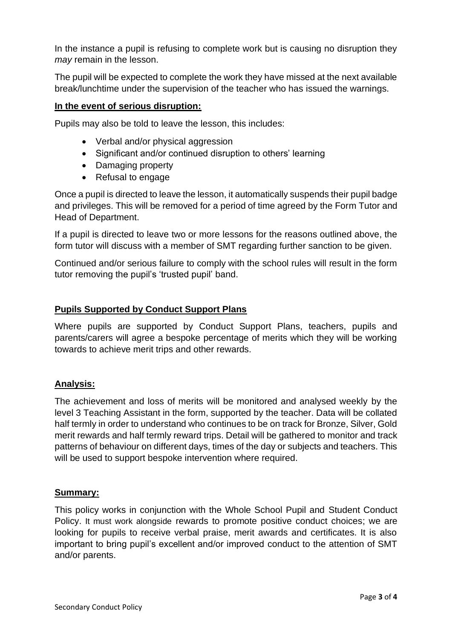In the instance a pupil is refusing to complete work but is causing no disruption they *may* remain in the lesson.

The pupil will be expected to complete the work they have missed at the next available break/lunchtime under the supervision of the teacher who has issued the warnings.

### **In the event of serious disruption:**

Pupils may also be told to leave the lesson, this includes:

- Verbal and/or physical aggression
- Significant and/or continued disruption to others' learning
- Damaging property
- Refusal to engage

Once a pupil is directed to leave the lesson, it automatically suspends their pupil badge and privileges. This will be removed for a period of time agreed by the Form Tutor and Head of Department.

If a pupil is directed to leave two or more lessons for the reasons outlined above, the form tutor will discuss with a member of SMT regarding further sanction to be given.

Continued and/or serious failure to comply with the school rules will result in the form tutor removing the pupil's 'trusted pupil' band.

### **Pupils Supported by Conduct Support Plans**

Where pupils are supported by Conduct Support Plans, teachers, pupils and parents/carers will agree a bespoke percentage of merits which they will be working towards to achieve merit trips and other rewards.

### **Analysis:**

The achievement and loss of merits will be monitored and analysed weekly by the level 3 Teaching Assistant in the form, supported by the teacher. Data will be collated half termly in order to understand who continues to be on track for Bronze, Silver, Gold merit rewards and half termly reward trips. Detail will be gathered to monitor and track patterns of behaviour on different days, times of the day or subjects and teachers. This will be used to support bespoke intervention where required.

#### **Summary:**

This policy works in conjunction with the Whole School Pupil and Student Conduct Policy. It must work alongside rewards to promote positive conduct choices; we are looking for pupils to receive verbal praise, merit awards and certificates. It is also important to bring pupil's excellent and/or improved conduct to the attention of SMT and/or parents.